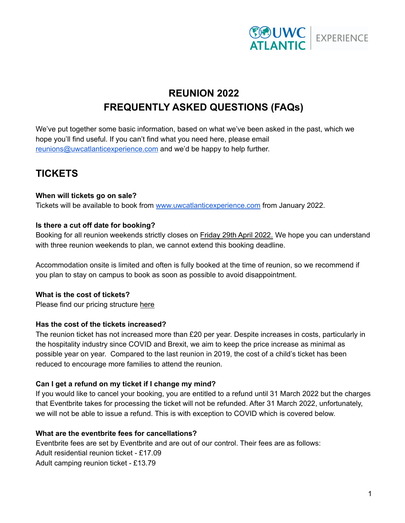

# **REUNION 2022 FREQUENTLY ASKED QUESTIONS (FAQs)**

We've put together some basic information, based on what we've been asked in the past, which we hope you'll find useful. If you can't find what you need here, please email [reunions@uwcatlanticexperience.com](mailto:reunions@uwcatlanticexperience.com) and we'd be happy to help further.

## **TICKETS**

## **When will tickets go on sale?**

Tickets will be available to book from [www.uwcatlanticexperience.com](http://www.uwcatlanticexperience.com) from January 2022.

## **Is there a cut off date for booking?**

Booking for all reunion weekends strictly closes on Friday 29th April 2022. We hope you can understand with three reunion weekends to plan, we cannot extend this booking deadline.

Accommodation onsite is limited and often is fully booked at the time of reunion, so we recommend if you plan to stay on campus to book as soon as possible to avoid disappointment.

## **What is the cost of tickets?**

Please find our pricing structure [here](https://mcusercontent.com/e6f4f03d989326bab36f1abc8/files/771e631e-531a-1126-3fb4-6ad77c532d41/Reunion_2022_Pricing_Structure_2_1_.pdf)

## **Has the cost of the tickets increased?**

The reunion ticket has not increased more than £20 per year. Despite increases in costs, particularly in the hospitality industry since COVID and Brexit, we aim to keep the price increase as minimal as possible year on year. Compared to the last reunion in 2019, the cost of a child's ticket has been reduced to encourage more families to attend the reunion.

## **Can I get a refund on my ticket if I change my mind?**

If you would like to cancel your booking, you are entitled to a refund until 31 March 2022 but the charges that Eventbrite takes for processing the ticket will not be refunded. After 31 March 2022, unfortunately, we will not be able to issue a refund. This is with exception to COVID which is covered below.

## **What are the eventbrite fees for cancellations?**

Eventbrite fees are set by Eventbrite and are out of our control. Their fees are as follows: Adult residential reunion ticket - £17.09 Adult camping reunion ticket - £13.79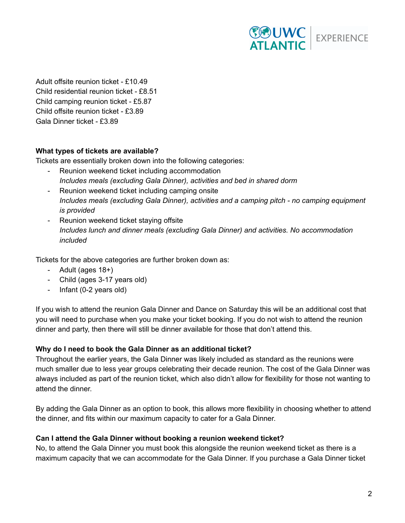

Adult offsite reunion ticket - £10.49 Child residential reunion ticket - £8.51 Child camping reunion ticket - £5.87 Child offsite reunion ticket - £3.89 Gala Dinner ticket - £3.89

## **What types of tickets are available?**

Tickets are essentially broken down into the following categories:

- Reunion weekend ticket including accommodation *Includes meals (excluding Gala Dinner), activities and bed in shared dorm*
- Reunion weekend ticket including camping onsite *Includes meals (excluding Gala Dinner), activities and a camping pitch - no camping equipment is provided*
- Reunion weekend ticket staying offsite *Includes lunch and dinner meals (excluding Gala Dinner) and activities. No accommodation included*

Tickets for the above categories are further broken down as:

- Adult (ages 18+)
- Child (ages 3-17 years old)
- Infant (0-2 years old)

If you wish to attend the reunion Gala Dinner and Dance on Saturday this will be an additional cost that you will need to purchase when you make your ticket booking. If you do not wish to attend the reunion dinner and party, then there will still be dinner available for those that don't attend this.

### **Why do I need to book the Gala Dinner as an additional ticket?**

Throughout the earlier years, the Gala Dinner was likely included as standard as the reunions were much smaller due to less year groups celebrating their decade reunion. The cost of the Gala Dinner was always included as part of the reunion ticket, which also didn't allow for flexibility for those not wanting to attend the dinner.

By adding the Gala Dinner as an option to book, this allows more flexibility in choosing whether to attend the dinner, and fits within our maximum capacity to cater for a Gala Dinner.

#### **Can I attend the Gala Dinner without booking a reunion weekend ticket?**

No, to attend the Gala Dinner you must book this alongside the reunion weekend ticket as there is a maximum capacity that we can accommodate for the Gala Dinner. If you purchase a Gala Dinner ticket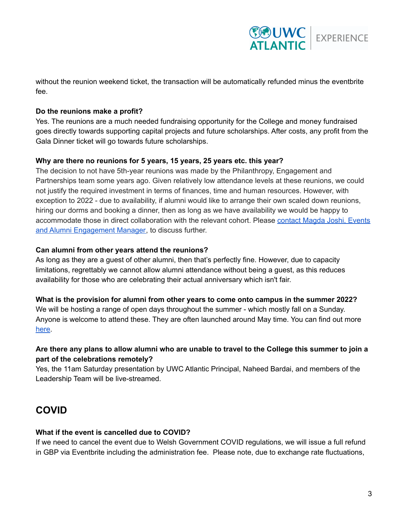

without the reunion weekend ticket, the transaction will be automatically refunded minus the eventbrite fee.

### **Do the reunions make a profit?**

Yes. The reunions are a much needed fundraising opportunity for the College and money fundraised goes directly towards supporting capital projects and future scholarships. After costs, any profit from the Gala Dinner ticket will go towards future scholarships.

#### **Why are there no reunions for 5 years, 15 years, 25 years etc. this year?**

The decision to not have 5th-year reunions was made by the Philanthropy, Engagement and Partnerships team some years ago. Given relatively low attendance levels at these reunions, we could not justify the required investment in terms of finances, time and human resources. However, with exception to 2022 - due to availability, if alumni would like to arrange their own scaled down reunions, hiring our dorms and booking a dinner, then as long as we have availability we would be happy to accommodate those in direct collaboration with the relevant cohort. Please [contact](mailto:magda.joshi@uwcatlantic.org) Magda Joshi, Events and Alumni [Engagement](mailto:magda.joshi@uwcatlantic.org) Manager, to discuss further.

#### **Can alumni from other years attend the reunions?**

As long as they are a guest of other alumni, then that's perfectly fine. However, due to capacity limitations, regrettably we cannot allow alumni attendance without being a guest, as this reduces availability for those who are celebrating their actual anniversary which isn't fair.

#### **What is the provision for alumni from other years to come onto campus in the summer 2022?**

We will be hosting a range of open days throughout the summer - which mostly fall on a Sunday. Anyone is welcome to attend these. They are often launched around May time. You can find out more [here](https://www.uwcatlanticexperience.com/event/).

## Are there any plans to allow alumni who are unable to travel to the College this summer to join a **part of the celebrations remotely?**

Yes, the 11am Saturday presentation by UWC Atlantic Principal, Naheed Bardai, and members of the Leadership Team will be live-streamed.

## **COVID**

#### **What if the event is cancelled due to COVID?**

If we need to cancel the event due to Welsh Government COVID regulations, we will issue a full refund in GBP via Eventbrite including the administration fee. Please note, due to exchange rate fluctuations,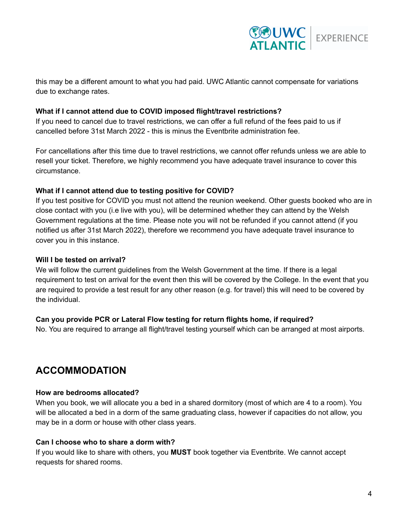

this may be a different amount to what you had paid. UWC Atlantic cannot compensate for variations due to exchange rates.

## **What if I cannot attend due to COVID imposed flight/travel restrictions?**

If you need to cancel due to travel restrictions, we can offer a full refund of the fees paid to us if cancelled before 31st March 2022 - this is minus the Eventbrite administration fee.

For cancellations after this time due to travel restrictions, we cannot offer refunds unless we are able to resell your ticket. Therefore, we highly recommend you have adequate travel insurance to cover this circumstance.

#### **What if I cannot attend due to testing positive for COVID?**

If you test positive for COVID you must not attend the reunion weekend. Other guests booked who are in close contact with you (i.e live with you), will be determined whether they can attend by the Welsh Government regulations at the time. Please note you will not be refunded if you cannot attend (if you notified us after 31st March 2022), therefore we recommend you have adequate travel insurance to cover you in this instance.

#### **Will I be tested on arrival?**

We will follow the current guidelines from the Welsh Government at the time. If there is a legal requirement to test on arrival for the event then this will be covered by the College. In the event that you are required to provide a test result for any other reason (e.g. for travel) this will need to be covered by the individual.

## **Can you provide PCR or Lateral Flow testing for return flights home, if required?**

No. You are required to arrange all flight/travel testing yourself which can be arranged at most airports.

## **ACCOMMODATION**

#### **How are bedrooms allocated?**

When you book, we will allocate you a bed in a shared dormitory (most of which are 4 to a room). You will be allocated a bed in a dorm of the same graduating class, however if capacities do not allow, you may be in a dorm or house with other class years.

#### **Can I choose who to share a dorm with?**

If you would like to share with others, you **MUST** book together via Eventbrite. We cannot accept requests for shared rooms.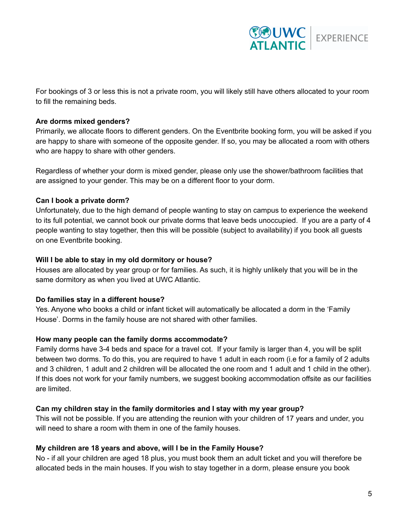

For bookings of 3 or less this is not a private room, you will likely still have others allocated to your room to fill the remaining beds.

### **Are dorms mixed genders?**

Primarily, we allocate floors to different genders. On the Eventbrite booking form, you will be asked if you are happy to share with someone of the opposite gender. If so, you may be allocated a room with others who are happy to share with other genders.

Regardless of whether your dorm is mixed gender, please only use the shower/bathroom facilities that are assigned to your gender. This may be on a different floor to your dorm.

## **Can I book a private dorm?**

Unfortunately, due to the high demand of people wanting to stay on campus to experience the weekend to its full potential, we cannot book our private dorms that leave beds unoccupied. If you are a party of 4 people wanting to stay together, then this will be possible (subject to availability) if you book all guests on one Eventbrite booking.

#### **Will I be able to stay in my old dormitory or house?**

Houses are allocated by year group or for families. As such, it is highly unlikely that you will be in the same dormitory as when you lived at UWC Atlantic.

## **Do families stay in a different house?**

Yes. Anyone who books a child or infant ticket will automatically be allocated a dorm in the 'Family House'. Dorms in the family house are not shared with other families.

## **How many people can the family dorms accommodate?**

Family dorms have 3-4 beds and space for a travel cot. If your family is larger than 4, you will be split between two dorms. To do this, you are required to have 1 adult in each room (i.e for a family of 2 adults and 3 children, 1 adult and 2 children will be allocated the one room and 1 adult and 1 child in the other). If this does not work for your family numbers, we suggest booking accommodation offsite as our facilities are limited.

## **Can my children stay in the family dormitories and I stay with my year group?**

This will not be possible. If you are attending the reunion with your children of 17 years and under, you will need to share a room with them in one of the family houses.

## **My children are 18 years and above, will I be in the Family House?**

No - if all your children are aged 18 plus, you must book them an adult ticket and you will therefore be allocated beds in the main houses. If you wish to stay together in a dorm, please ensure you book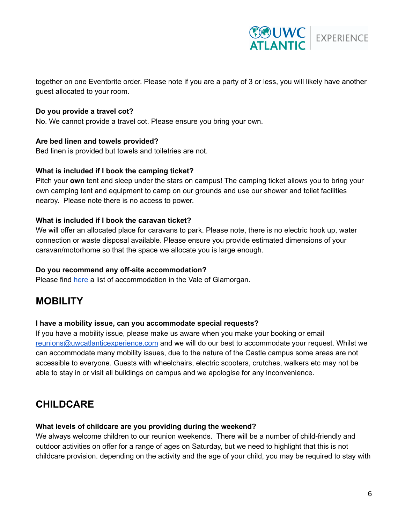

together on one Eventbrite order. Please note if you are a party of 3 or less, you will likely have another guest allocated to your room.

## **Do you provide a travel cot?**

No. We cannot provide a travel cot. Please ensure you bring your own.

#### **Are bed linen and towels provided?**

Bed linen is provided but towels and toiletries are not.

#### **What is included if I book the camping ticket?**

Pitch your **own** tent and sleep under the stars on campus! The camping ticket allows you to bring your own camping tent and equipment to camp on our grounds and use our shower and toilet facilities nearby. Please note there is no access to power.

#### **What is included if I book the caravan ticket?**

We will offer an allocated place for caravans to park. Please note, there is no electric hook up, water connection or waste disposal available. Please ensure you provide estimated dimensions of your caravan/motorhome so that the space we allocate you is large enough.

#### **Do you recommend any off-site accommodation?**

Please find [here](https://drive.google.com/file/d/10cI__KHO7jXt_0DOMT_Di6e6nPdupAYB/view?usp=sharing) a list of accommodation in the Vale of Glamorgan.

## **MOBILITY**

#### **I have a mobility issue, can you accommodate special requests?**

If you have a mobility issue, please make us aware when you make your booking or email [reunions@uwcatlanticexperience.com](mailto:reunions@uwcatlanticexperience.com) and we will do our best to accommodate your request. Whilst we can accommodate many mobility issues, due to the nature of the Castle campus some areas are not accessible to everyone. Guests with wheelchairs, electric scooters, crutches, walkers etc may not be able to stay in or visit all buildings on campus and we apologise for any inconvenience.

## **CHILDCARE**

#### **What levels of childcare are you providing during the weekend?**

We always welcome children to our reunion weekends. There will be a number of child-friendly and outdoor activities on offer for a range of ages on Saturday, but we need to highlight that this is not childcare provision. depending on the activity and the age of your child, you may be required to stay with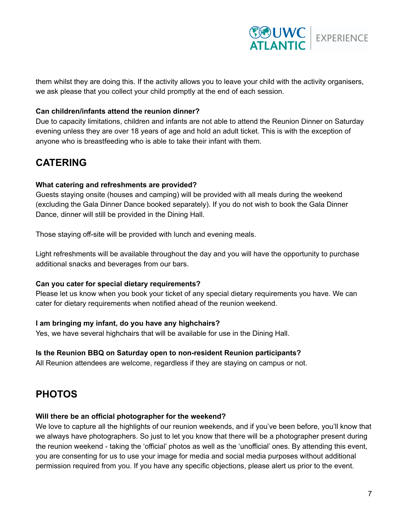

them whilst they are doing this. If the activity allows you to leave your child with the activity organisers, we ask please that you collect your child promptly at the end of each session.

## **Can children/infants attend the reunion dinner?**

Due to capacity limitations, children and infants are not able to attend the Reunion Dinner on Saturday evening unless they are over 18 years of age and hold an adult ticket. This is with the exception of anyone who is breastfeeding who is able to take their infant with them.

## **CATERING**

#### **What catering and refreshments are provided?**

Guests staying onsite (houses and camping) will be provided with all meals during the weekend (excluding the Gala Dinner Dance booked separately). If you do not wish to book the Gala Dinner Dance, dinner will still be provided in the Dining Hall.

Those staying off-site will be provided with lunch and evening meals.

Light refreshments will be available throughout the day and you will have the opportunity to purchase additional snacks and beverages from our bars.

#### **Can you cater for special dietary requirements?**

Please let us know when you book your ticket of any special dietary requirements you have. We can cater for dietary requirements when notified ahead of the reunion weekend.

## **I am bringing my infant, do you have any highchairs?**

Yes, we have several highchairs that will be available for use in the Dining Hall.

#### **Is the Reunion BBQ on Saturday open to non-resident Reunion participants?**

All Reunion attendees are welcome, regardless if they are staying on campus or not.

## **PHOTOS**

#### **Will there be an official photographer for the weekend?**

We love to capture all the highlights of our reunion weekends, and if you've been before, you'll know that we always have photographers. So just to let you know that there will be a photographer present during the reunion weekend - taking the 'official' photos as well as the 'unofficial' ones. By attending this event, you are consenting for us to use your image for media and social media purposes without additional permission required from you. If you have any specific objections, please alert us prior to the event.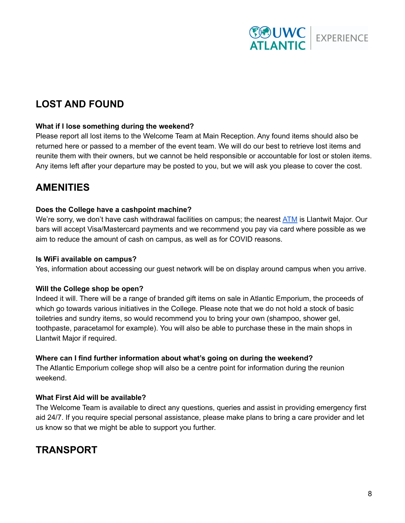

# **LOST AND FOUND**

### **What if I lose something during the weekend?**

Please report all lost items to the Welcome Team at Main Reception. Any found items should also be returned here or passed to a member of the event team. We will do our best to retrieve lost items and reunite them with their owners, but we cannot be held responsible or accountable for lost or stolen items. Any items left after your departure may be posted to you, but we will ask you please to cover the cost.

## **AMENITIES**

## **Does the College have a cashpoint machine?**

We're sorry, we don't have cash withdrawal facilities on campus; the nearest [ATM](https://llantwit-major.cylex-uk.co.uk/company/lloyds-bank---llantwit-major-13736864.html) is Llantwit Major. Our bars will accept Visa/Mastercard payments and we recommend you pay via card where possible as we aim to reduce the amount of cash on campus, as well as for COVID reasons.

## **Is WiFi available on campus?**

Yes, information about accessing our guest network will be on display around campus when you arrive.

#### **Will the College shop be open?**

Indeed it will. There will be a range of branded gift items on sale in Atlantic Emporium, the proceeds of which go towards various initiatives in the College. Please note that we do not hold a stock of basic toiletries and sundry items, so would recommend you to bring your own (shampoo, shower gel, toothpaste, paracetamol for example). You will also be able to purchase these in the main shops in Llantwit Major if required.

## **Where can I find further information about what's going on during the weekend?**

The Atlantic Emporium college shop will also be a centre point for information during the reunion weekend.

## **What First Aid will be available?**

The Welcome Team is available to direct any questions, queries and assist in providing emergency first aid 24/7. If you require special personal assistance, please make plans to bring a care provider and let us know so that we might be able to support you further.

## **TRANSPORT**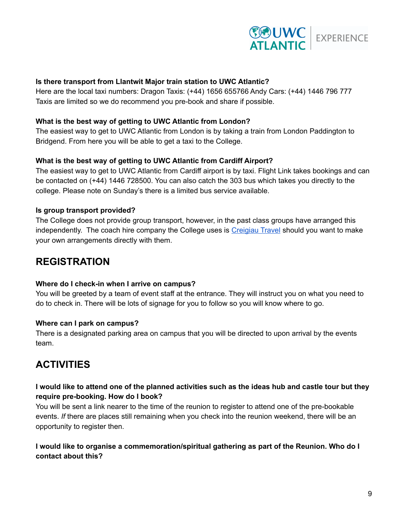

## **Is there transport from Llantwit Major train station to UWC Atlantic?**

Here are the local taxi numbers: Dragon Taxis: (+44) 1656 655766 Andy Cars: (+44) 1446 796 777 Taxis are limited so we do recommend you pre-book and share if possible.

#### **What is the best way of getting to UWC Atlantic from London?**

The easiest way to get to UWC Atlantic from London is by taking a train from London Paddington to Bridgend. From here you will be able to get a taxi to the College.

#### **What is the best way of getting to UWC Atlantic from Cardiff Airport?**

The easiest way to get to UWC Atlantic from Cardiff airport is by taxi. Flight Link takes bookings and can be contacted on (+44) 1446 728500. You can also catch the 303 bus which takes you directly to the college. Please note on Sunday's there is a limited bus service available.

#### **Is group transport provided?**

The College does not provide group transport, however, in the past class groups have arranged this independently. The coach hire company the College uses is [Creigiau](https://creigiautravel.co.uk/) Travel should you want to make your own arrangements directly with them.

## **REGISTRATION**

#### **Where do I check-in when I arrive on campus?**

You will be greeted by a team of event staff at the entrance. They will instruct you on what you need to do to check in. There will be lots of signage for you to follow so you will know where to go.

#### **Where can I park on campus?**

There is a designated parking area on campus that you will be directed to upon arrival by the events team.

## **ACTIVITIES**

## I would like to attend one of the planned activities such as the ideas hub and castle tour but they **require pre-booking. How do I book?**

You will be sent a link nearer to the time of the reunion to register to attend one of the pre-bookable events. *If* there are places still remaining when you check into the reunion weekend, there will be an opportunity to register then.

## **I would like to organise a commemoration/spiritual gathering as part of the Reunion. Who do I contact about this?**